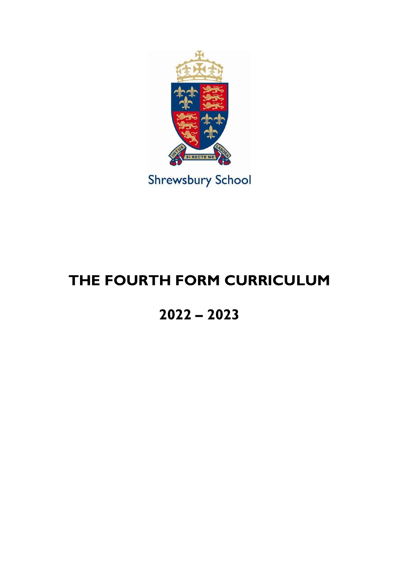

**Shrewsbury School** 

# **THE FOURTH FORM CURRICULUM**

# **2022 – 2023**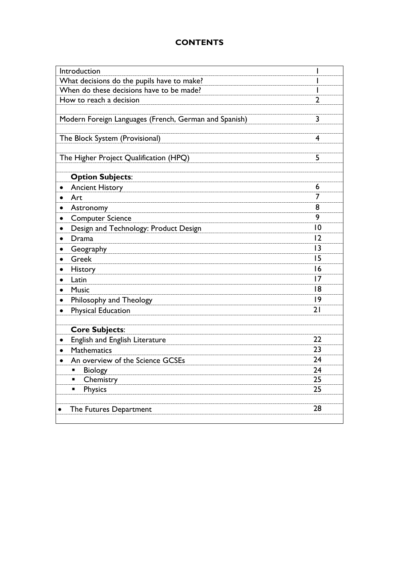# **CONTENTS**

| What decisions do the pupils have to make?<br>When do these decisions have to be made?<br>$\overline{2}$<br>How to reach a decision<br>3<br>Modern Foreign Languages (French, German and Spanish)<br>The Block System (Provisional)<br>4<br>The Higher Project Qualification (HPQ)<br>5<br><b>Option Subjects:</b><br><b>Ancient History</b><br>6<br>7<br>Art<br>8<br>Astronomy<br>$\bullet$<br>9<br><b>Computer Science</b><br>$ 0\rangle$<br>Design and Technology: Product Design<br>$\bullet$<br> 2<br>Drama<br> 3<br>Geography<br>15<br>Greek<br>16<br><b>History</b><br>17<br>Latin<br>٠<br>18<br><b>Music</b><br> 9<br>Philosophy and Theology<br>$\bullet$<br>21<br><b>Physical Education</b><br>$\bullet$<br><b>Core Subjects:</b><br>22<br>English and English Literature<br>23<br><b>Mathematics</b><br>24<br>An overview of the Science GCSEs<br>Biology<br>24<br>п<br>Chemistry<br>25<br><b>Physics</b><br>25<br>п<br>28<br>The Futures Department | Introduction |  |
|-----------------------------------------------------------------------------------------------------------------------------------------------------------------------------------------------------------------------------------------------------------------------------------------------------------------------------------------------------------------------------------------------------------------------------------------------------------------------------------------------------------------------------------------------------------------------------------------------------------------------------------------------------------------------------------------------------------------------------------------------------------------------------------------------------------------------------------------------------------------------------------------------------------------------------------------------------------------|--------------|--|
|                                                                                                                                                                                                                                                                                                                                                                                                                                                                                                                                                                                                                                                                                                                                                                                                                                                                                                                                                                 |              |  |
|                                                                                                                                                                                                                                                                                                                                                                                                                                                                                                                                                                                                                                                                                                                                                                                                                                                                                                                                                                 |              |  |
|                                                                                                                                                                                                                                                                                                                                                                                                                                                                                                                                                                                                                                                                                                                                                                                                                                                                                                                                                                 |              |  |
|                                                                                                                                                                                                                                                                                                                                                                                                                                                                                                                                                                                                                                                                                                                                                                                                                                                                                                                                                                 |              |  |
|                                                                                                                                                                                                                                                                                                                                                                                                                                                                                                                                                                                                                                                                                                                                                                                                                                                                                                                                                                 |              |  |
|                                                                                                                                                                                                                                                                                                                                                                                                                                                                                                                                                                                                                                                                                                                                                                                                                                                                                                                                                                 |              |  |
|                                                                                                                                                                                                                                                                                                                                                                                                                                                                                                                                                                                                                                                                                                                                                                                                                                                                                                                                                                 |              |  |
|                                                                                                                                                                                                                                                                                                                                                                                                                                                                                                                                                                                                                                                                                                                                                                                                                                                                                                                                                                 |              |  |
|                                                                                                                                                                                                                                                                                                                                                                                                                                                                                                                                                                                                                                                                                                                                                                                                                                                                                                                                                                 |              |  |
|                                                                                                                                                                                                                                                                                                                                                                                                                                                                                                                                                                                                                                                                                                                                                                                                                                                                                                                                                                 |              |  |
|                                                                                                                                                                                                                                                                                                                                                                                                                                                                                                                                                                                                                                                                                                                                                                                                                                                                                                                                                                 |              |  |
|                                                                                                                                                                                                                                                                                                                                                                                                                                                                                                                                                                                                                                                                                                                                                                                                                                                                                                                                                                 |              |  |
|                                                                                                                                                                                                                                                                                                                                                                                                                                                                                                                                                                                                                                                                                                                                                                                                                                                                                                                                                                 |              |  |
|                                                                                                                                                                                                                                                                                                                                                                                                                                                                                                                                                                                                                                                                                                                                                                                                                                                                                                                                                                 |              |  |
|                                                                                                                                                                                                                                                                                                                                                                                                                                                                                                                                                                                                                                                                                                                                                                                                                                                                                                                                                                 |              |  |
|                                                                                                                                                                                                                                                                                                                                                                                                                                                                                                                                                                                                                                                                                                                                                                                                                                                                                                                                                                 |              |  |
|                                                                                                                                                                                                                                                                                                                                                                                                                                                                                                                                                                                                                                                                                                                                                                                                                                                                                                                                                                 |              |  |
|                                                                                                                                                                                                                                                                                                                                                                                                                                                                                                                                                                                                                                                                                                                                                                                                                                                                                                                                                                 |              |  |
|                                                                                                                                                                                                                                                                                                                                                                                                                                                                                                                                                                                                                                                                                                                                                                                                                                                                                                                                                                 |              |  |
|                                                                                                                                                                                                                                                                                                                                                                                                                                                                                                                                                                                                                                                                                                                                                                                                                                                                                                                                                                 |              |  |
|                                                                                                                                                                                                                                                                                                                                                                                                                                                                                                                                                                                                                                                                                                                                                                                                                                                                                                                                                                 |              |  |
|                                                                                                                                                                                                                                                                                                                                                                                                                                                                                                                                                                                                                                                                                                                                                                                                                                                                                                                                                                 |              |  |
|                                                                                                                                                                                                                                                                                                                                                                                                                                                                                                                                                                                                                                                                                                                                                                                                                                                                                                                                                                 |              |  |
|                                                                                                                                                                                                                                                                                                                                                                                                                                                                                                                                                                                                                                                                                                                                                                                                                                                                                                                                                                 |              |  |
|                                                                                                                                                                                                                                                                                                                                                                                                                                                                                                                                                                                                                                                                                                                                                                                                                                                                                                                                                                 |              |  |
|                                                                                                                                                                                                                                                                                                                                                                                                                                                                                                                                                                                                                                                                                                                                                                                                                                                                                                                                                                 |              |  |
|                                                                                                                                                                                                                                                                                                                                                                                                                                                                                                                                                                                                                                                                                                                                                                                                                                                                                                                                                                 |              |  |
|                                                                                                                                                                                                                                                                                                                                                                                                                                                                                                                                                                                                                                                                                                                                                                                                                                                                                                                                                                 |              |  |
|                                                                                                                                                                                                                                                                                                                                                                                                                                                                                                                                                                                                                                                                                                                                                                                                                                                                                                                                                                 |              |  |
|                                                                                                                                                                                                                                                                                                                                                                                                                                                                                                                                                                                                                                                                                                                                                                                                                                                                                                                                                                 |              |  |
|                                                                                                                                                                                                                                                                                                                                                                                                                                                                                                                                                                                                                                                                                                                                                                                                                                                                                                                                                                 |              |  |
|                                                                                                                                                                                                                                                                                                                                                                                                                                                                                                                                                                                                                                                                                                                                                                                                                                                                                                                                                                 |              |  |
|                                                                                                                                                                                                                                                                                                                                                                                                                                                                                                                                                                                                                                                                                                                                                                                                                                                                                                                                                                 |              |  |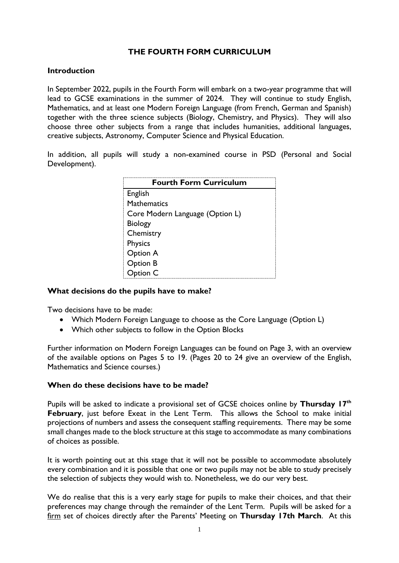# **THE FOURTH FORM CURRICULUM**

#### **Introduction**

In September 2022, pupils in the Fourth Form will embark on a two-year programme that will lead to GCSE examinations in the summer of 2024. They will continue to study English, Mathematics, and at least one Modern Foreign Language (from French, German and Spanish) together with the three science subjects (Biology, Chemistry, and Physics). They will also choose three other subjects from a range that includes humanities, additional languages, creative subjects, Astronomy, Computer Science and Physical Education.

In addition, all pupils will study a non-examined course in PSD (Personal and Social Development).

| <b>Fourth Form Curriculum</b>   |
|---------------------------------|
| English                         |
| <b>Mathematics</b>              |
| Core Modern Language (Option L) |
| <b>Biology</b>                  |
| Chemistry                       |
| <b>Physics</b>                  |
| Option A                        |
| Option B                        |
| Option C                        |

#### **What decisions do the pupils have to make?**

Two decisions have to be made:

- Which Modern Foreign Language to choose as the Core Language (Option L)
- Which other subjects to follow in the Option Blocks

Further information on Modern Foreign Languages can be found on Page 3, with an overview of the available options on Pages 5 to 19. (Pages 20 to 24 give an overview of the English, Mathematics and Science courses.)

#### **When do these decisions have to be made?**

Pupils will be asked to indicate a provisional set of GCSE choices online by **Thursday 17th February**, just before Exeat in the Lent Term. This allows the School to make initial projections of numbers and assess the consequent staffing requirements. There may be some small changes made to the block structure at this stage to accommodate as many combinations of choices as possible.

It is worth pointing out at this stage that it will not be possible to accommodate absolutely every combination and it is possible that one or two pupils may not be able to study precisely the selection of subjects they would wish to. Nonetheless, we do our very best.

We do realise that this is a very early stage for pupils to make their choices, and that their preferences may change through the remainder of the Lent Term. Pupils will be asked for a firm set of choices directly after the Parents' Meeting on **Thursday 17th March**. At this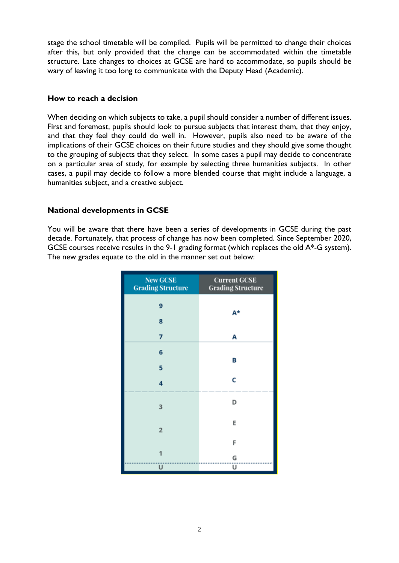stage the school timetable will be compiled. Pupils will be permitted to change their choices after this, but only provided that the change can be accommodated within the timetable structure. Late changes to choices at GCSE are hard to accommodate, so pupils should be wary of leaving it too long to communicate with the Deputy Head (Academic).

#### **How to reach a decision**

When deciding on which subjects to take, a pupil should consider a number of different issues. First and foremost, pupils should look to pursue subjects that interest them, that they enjoy, and that they feel they could do well in. However, pupils also need to be aware of the implications of their GCSE choices on their future studies and they should give some thought to the grouping of subjects that they select. In some cases a pupil may decide to concentrate on a particular area of study, for example by selecting three humanities subjects. In other cases, a pupil may decide to follow a more blended course that might include a language, a humanities subject, and a creative subject.

#### **National developments in GCSE**

You will be aware that there have been a series of developments in GCSE during the past decade. Fortunately, that process of change has now been completed. Since September 2020, GCSE courses receive results in the 9-1 grading format (which replaces the old A\*-G system). The new grades equate to the old in the manner set out below:

| <b>New GCSE</b><br><b>Grading Structure</b> | <b>Current GCSE</b><br><b>Grading Structure</b> |
|---------------------------------------------|-------------------------------------------------|
| 9                                           | A*                                              |
| 8                                           |                                                 |
| 7                                           | А                                               |
| 6                                           |                                                 |
| 5                                           | В                                               |
| 4                                           | C                                               |
| 3                                           | D                                               |
| $\overline{\mathbf{2}}$                     | E                                               |
|                                             | F                                               |
|                                             | G                                               |
| U                                           | U                                               |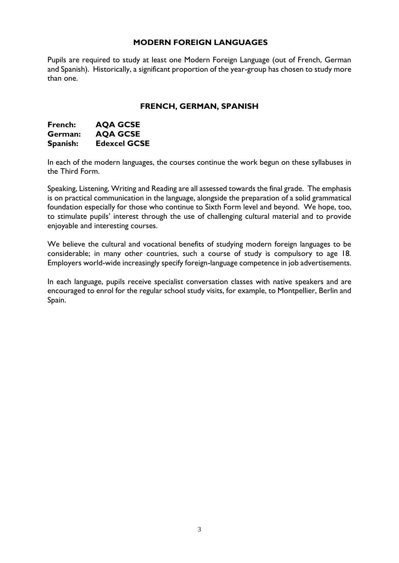#### **MODERN FOREIGN LANGUAGES**

Pupils are required to study at least one Modern Foreign Language (out of French, German and Spanish). Historically, a significant proportion of the year-group has chosen to study more than one.

#### **FRENCH, GERMAN, SPANISH**

| French:  | <b>AQA GCSE</b>     |
|----------|---------------------|
| German:  | <b>AQA GCSE</b>     |
| Spanish: | <b>Edexcel GCSE</b> |

In each of the modern languages, the courses continue the work begun on these syllabuses in the Third Form.

Speaking, Listening, Writing and Reading are all assessed towards the final grade. The emphasis is on practical communication in the language, alongside the preparation of a solid grammatical foundation especially for those who continue to Sixth Form level and beyond. We hope, too, to stimulate pupils' interest through the use of challenging cultural material and to provide enjoyable and interesting courses.

We believe the cultural and vocational benefits of studying modern foreign languages to be considerable; in many other countries, such a course of study is compulsory to age 18. Employers world-wide increasingly specify foreign-language competence in job advertisements.

In each language, pupils receive specialist conversation classes with native speakers and are encouraged to enrol for the regular school study visits, for example, to Montpellier, Berlin and Spain.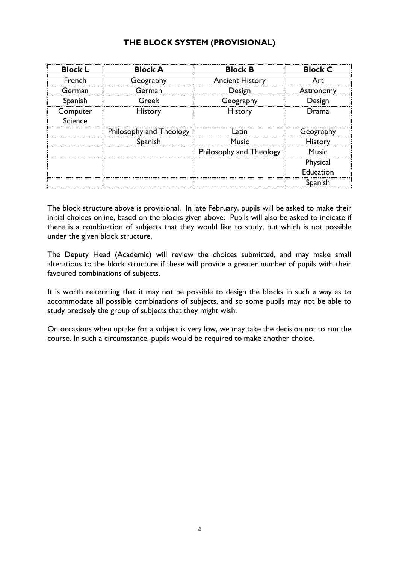## **THE BLOCK SYSTEM (PROVISIONAL)**

| <b>Block L</b>             | <b>Block A</b>          | <b>Block B</b>          | <b>Block C</b> |
|----------------------------|-------------------------|-------------------------|----------------|
| French                     | Geography               | <b>Ancient History</b>  | Art            |
| German                     | German                  | Design                  | Astronomy      |
| Spanish                    | Greek                   | Geography               | Design         |
| Computer<br><b>Science</b> | <b>History</b>          | <b>History</b>          | Drama          |
|                            | Philosophy and Theology | Latin                   | Geography      |
|                            | Spanish                 | <b>Music</b>            | History        |
|                            |                         | Philosophy and Theology | <b>Music</b>   |
|                            |                         |                         | Physical       |
|                            |                         |                         | Education      |
|                            |                         |                         | Spanish        |

The block structure above is provisional. In late February, pupils will be asked to make their initial choices online, based on the blocks given above. Pupils will also be asked to indicate if there is a combination of subjects that they would like to study, but which is not possible under the given block structure.

The Deputy Head (Academic) will review the choices submitted, and may make small alterations to the block structure if these will provide a greater number of pupils with their favoured combinations of subjects.

It is worth reiterating that it may not be possible to design the blocks in such a way as to accommodate all possible combinations of subjects, and so some pupils may not be able to study precisely the group of subjects that they might wish.

On occasions when uptake for a subject is very low, we may take the decision not to run the course. In such a circumstance, pupils would be required to make another choice.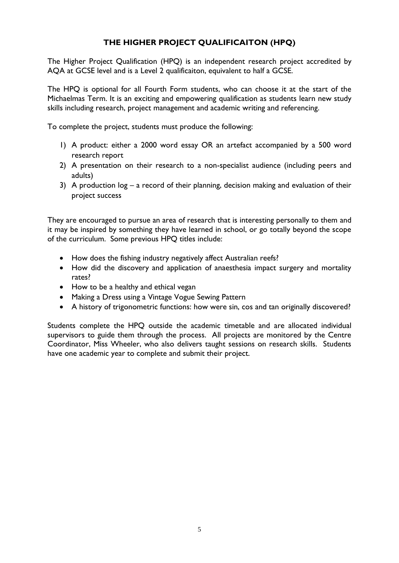# **THE HIGHER PROJECT QUALIFICAITON (HPQ)**

The Higher Project Qualification (HPQ) is an independent research project accredited by AQA at GCSE level and is a Level 2 qualificaiton, equivalent to half a GCSE.

The HPQ is optional for all Fourth Form students, who can choose it at the start of the Michaelmas Term. It is an exciting and empowering qualification as students learn new study skills including research, project management and academic writing and referencing.

To complete the project, students must produce the following:

- 1) A product: either a 2000 word essay OR an artefact accompanied by a 500 word research report
- 2) A presentation on their research to a non-specialist audience (including peers and adults)
- 3) A production log a record of their planning, decision making and evaluation of their project success

They are encouraged to pursue an area of research that is interesting personally to them and it may be inspired by something they have learned in school, or go totally beyond the scope of the curriculum. Some previous HPQ titles include:

- How does the fishing industry negatively affect Australian reefs?
- How did the discovery and application of anaesthesia impact surgery and mortality rates?
- How to be a healthy and ethical vegan
- Making a Dress using a Vintage Vogue Sewing Pattern
- A history of trigonometric functions: how were sin, cos and tan originally discovered?

Students complete the HPQ outside the academic timetable and are allocated individual supervisors to guide them through the process. All projects are monitored by the Centre Coordinator, Miss Wheeler, who also delivers taught sessions on research skills. Students have one academic year to complete and submit their project.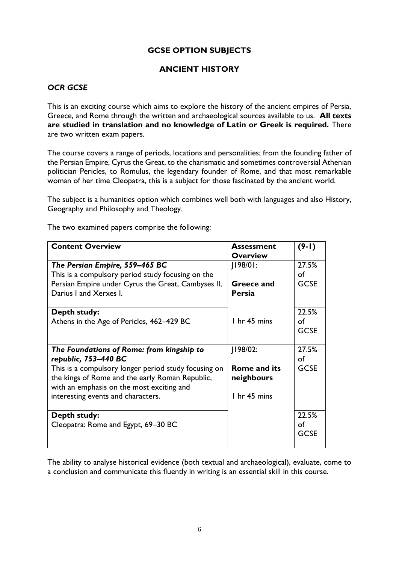# **GCSE OPTION SUBJECTS**

# **ANCIENT HISTORY**

## *OCR GCSE*

This is an exciting course which aims to explore the history of the ancient empires of Persia, Greece, and Rome through the written and archaeological sources available to us. **All texts are studied in translation and no knowledge of Latin or Greek is required.** There are two written exam papers.

The course covers a range of periods, locations and personalities; from the founding father of the Persian Empire, Cyrus the Great, to the charismatic and sometimes controversial Athenian politician Pericles, to Romulus, the legendary founder of Rome, and that most remarkable woman of her time Cleopatra, this is a subject for those fascinated by the ancient world.

The subject is a humanities option which combines well both with languages and also History, Geography and Philosophy and Theology.

**Content Overview Assessment Overview (9-1)** *The Persian Empire, 559–465 BC* This is a compulsory period study focusing on the Persian Empire under Cyrus the Great, Cambyses II, Darius I and Xerxes I. J198/01: **Greece and Persia** 1 hr 45 mins 27.5% of **GCSE Depth study:** Athens in the Age of Pericles, 462–429 BC 22.5% of **GCSE** *The Foundations of Rome: from kingship to republic, 753–440 BC* This is a compulsory longer period study focusing on the kings of Rome and the early Roman Republic, with an emphasis on the most exciting and interesting events and characters. J198/02: **Rome and its neighbours** 1 hr 45 mins 27.5% of **GCSE Depth study:** Cleopatra: Rome and Egypt, 69–30 BC 22.5% of **GCSE** 

The two examined papers comprise the following:

The ability to analyse historical evidence (both textual and archaeological), evaluate, come to a conclusion and communicate this fluently in writing is an essential skill in this course.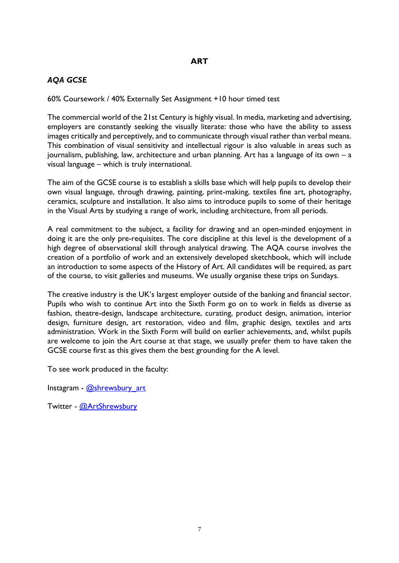# **ART**

# *AQA GCSE*

60% Coursework / 40% Externally Set Assignment +10 hour timed test

The commercial world of the 21st Century is highly visual. In media, marketing and advertising, employers are constantly seeking the visually literate: those who have the ability to assess images critically and perceptively, and to communicate through visual rather than verbal means. This combination of visual sensitivity and intellectual rigour is also valuable in areas such as journalism, publishing, law, architecture and urban planning. Art has a language of its own – a visual language – which is truly international.

The aim of the GCSE course is to establish a skills base which will help pupils to develop their own visual language, through drawing, painting, print-making, textiles fine art, photography, ceramics, sculpture and installation. It also aims to introduce pupils to some of their heritage in the Visual Arts by studying a range of work, including architecture, from all periods.

A real commitment to the subject, a facility for drawing and an open-minded enjoyment in doing it are the only pre-requisites. The core discipline at this level is the development of a high degree of observational skill through analytical drawing. The AQA course involves the creation of a portfolio of work and an extensively developed sketchbook, which will include an introduction to some aspects of the History of Art. All candidates will be required, as part of the course, to visit galleries and museums. We usually organise these trips on Sundays.

The creative industry is the UK's largest employer outside of the banking and financial sector. Pupils who wish to continue Art into the Sixth Form go on to work in fields as diverse as fashion, theatre-design, landscape architecture, curating, product design, animation, interior design, furniture design, art restoration, video and film, graphic design, textiles and arts administration. Work in the Sixth Form will build on earlier achievements, and, whilst pupils are welcome to join the Art course at that stage, we usually prefer them to have taken the GCSE course first as this gives them the best grounding for the A level.

To see work produced in the faculty:

Instagram - [@shrewsbury\\_art](https://www.instagram.com/shrewsbury_art/?hl=en)

Twitter - [@ArtShrewsbury](https://twitter.com/ArtShrewsbury?ref_src=twsrc%5Egoogle%7Ctwcamp%5Eserp%7Ctwgr%5Eauthor)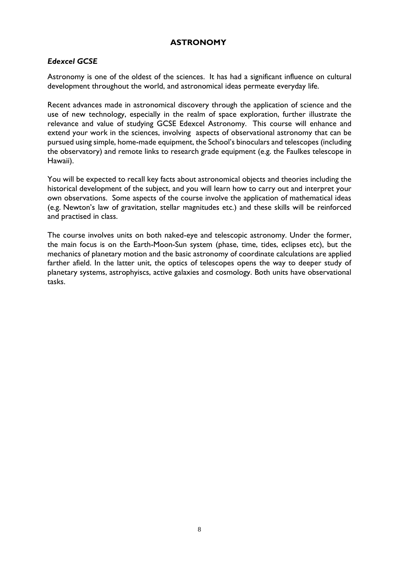# **ASTRONOMY**

#### *Edexcel GCSE*

Astronomy is one of the oldest of the sciences. It has had a significant influence on cultural development throughout the world, and astronomical ideas permeate everyday life.

Recent advances made in astronomical discovery through the application of science and the use of new technology, especially in the realm of space exploration, further illustrate the relevance and value of studying GCSE Edexcel Astronomy. This course will enhance and extend your work in the sciences, involving aspects of observational astronomy that can be pursued using simple, home-made equipment, the School's binoculars and telescopes (including the observatory) and remote links to research grade equipment (e.g. the Faulkes telescope in Hawaii).

You will be expected to recall key facts about astronomical objects and theories including the historical development of the subject, and you will learn how to carry out and interpret your own observations. Some aspects of the course involve the application of mathematical ideas (e.g. Newton's law of gravitation, stellar magnitudes etc.) and these skills will be reinforced and practised in class.

The course involves units on both naked-eye and telescopic astronomy. Under the former, the main focus is on the Earth-Moon-Sun system (phase, time, tides, eclipses etc), but the mechanics of planetary motion and the basic astronomy of coordinate calculations are applied farther afield. In the latter unit, the optics of telescopes opens the way to deeper study of planetary systems, astrophyiscs, active galaxies and cosmology. Both units have observational tasks.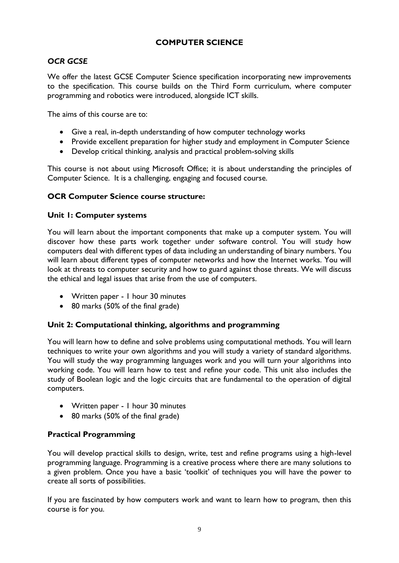# **COMPUTER SCIENCE**

# *OCR GCSE*

We offer the latest GCSE Computer Science specification incorporating new improvements to the specification. This course builds on the Third Form curriculum, where computer programming and robotics were introduced, alongside ICT skills.

The aims of this course are to:

- Give a real, in-depth understanding of how computer technology works
- Provide excellent preparation for higher study and employment in Computer Science
- Develop critical thinking, analysis and practical problem-solving skills

This course is not about using Microsoft Office; it is about understanding the principles of Computer Science. It is a challenging, engaging and focused course.

#### **OCR Computer Science course structure:**

#### **Unit 1: Computer systems**

You will learn about the important components that make up a computer system. You will discover how these parts work together under software control. You will study how computers deal with different types of data including an understanding of binary numbers. You will learn about different types of computer networks and how the Internet works. You will look at threats to computer security and how to guard against those threats. We will discuss the ethical and legal issues that arise from the use of computers.

- Written paper 1 hour 30 minutes
- 80 marks (50% of the final grade)

#### **Unit 2: Computational thinking, algorithms and programming**

You will learn how to define and solve problems using computational methods. You will learn techniques to write your own algorithms and you will study a variety of standard algorithms. You will study the way programming languages work and you will turn your algorithms into working code. You will learn how to test and refine your code. This unit also includes the study of Boolean logic and the logic circuits that are fundamental to the operation of digital computers.

- Written paper 1 hour 30 minutes
- 80 marks (50% of the final grade)

#### **Practical Programming**

You will develop practical skills to design, write, test and refine programs using a high-level programming language. Programming is a creative process where there are many solutions to a given problem. Once you have a basic 'toolkit' of techniques you will have the power to create all sorts of possibilities.

If you are fascinated by how computers work and want to learn how to program, then this course is for you.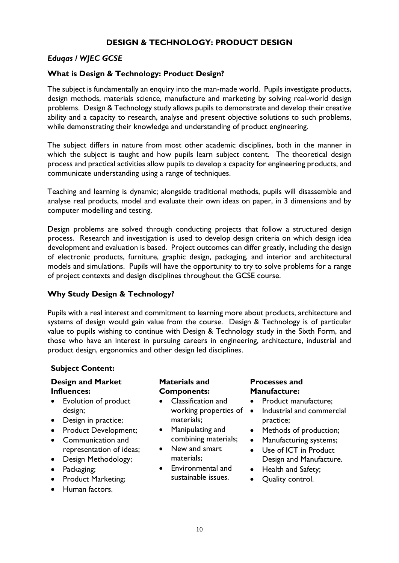# **DESIGN & TECHNOLOGY: PRODUCT DESIGN**

#### *Eduqas / WJEC GCSE*

#### **What is Design & Technology: Product Design?**

The subject is fundamentally an enquiry into the man-made world. Pupils investigate products, design methods, materials science, manufacture and marketing by solving real-world design problems. Design & Technology study allows pupils to demonstrate and develop their creative ability and a capacity to research, analyse and present objective solutions to such problems, while demonstrating their knowledge and understanding of product engineering.

The subject differs in nature from most other academic disciplines, both in the manner in which the subject is taught and how pupils learn subject content. The theoretical design process and practical activities allow pupils to develop a capacity for engineering products, and communicate understanding using a range of techniques.

Teaching and learning is dynamic; alongside traditional methods, pupils will disassemble and analyse real products, model and evaluate their own ideas on paper, in 3 dimensions and by computer modelling and testing.

Design problems are solved through conducting projects that follow a structured design process. Research and investigation is used to develop design criteria on which design idea development and evaluation is based. Project outcomes can differ greatly, including the design of electronic products, furniture, graphic design, packaging, and interior and architectural models and simulations. Pupils will have the opportunity to try to solve problems for a range of project contexts and design disciplines throughout the GCSE course.

#### **Why Study Design & Technology?**

Pupils with a real interest and commitment to learning more about products, architecture and systems of design would gain value from the course. Design & Technology is of particular value to pupils wishing to continue with Design & Technology study in the Sixth Form, and those who have an interest in pursuing careers in engineering, architecture, industrial and product design, ergonomics and other design led disciplines.

#### **Subject Content:**

#### **Design and Market Influences:**

- Evolution of product design;
- Design in practice;
- Product Development;
- Communication and representation of ideas;
- Design Methodology;
- Packaging;
- Product Marketing;
- Human factors.

#### **Materials and Components:**

- Classification and working properties of materials;
- Manipulating and combining materials;
- New and smart materials;
- Environmental and sustainable issues.

#### **Processes and Manufacture:**

- Product manufacture;
- Industrial and commercial practice;
- Methods of production;
- Manufacturing systems;
- Use of ICT in Product Design and Manufacture.
- Health and Safety;
- Quality control.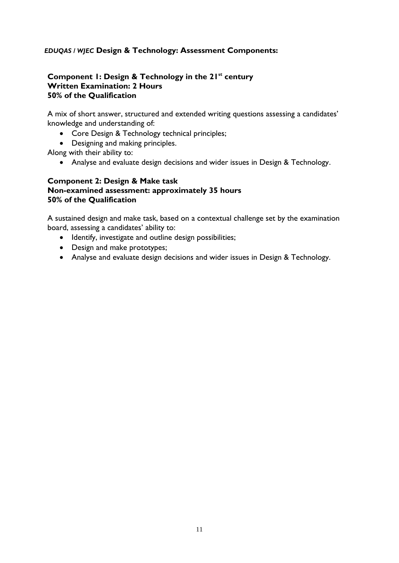## *EDUQAS / WJEC* **Design & Technology: Assessment Components:**

#### **Component 1: Design & Technology in the 21st century Written Examination: 2 Hours 50% of the Qualification**

A mix of short answer, structured and extended writing questions assessing a candidates' knowledge and understanding of:

- Core Design & Technology technical principles;
- Designing and making principles.

Along with their ability to:

• Analyse and evaluate design decisions and wider issues in Design & Technology.

#### **Component 2: Design & Make task Non-examined assessment: approximately 35 hours 50% of the Qualification**

A sustained design and make task, based on a contextual challenge set by the examination board, assessing a candidates' ability to:

- Identify, investigate and outline design possibilities;
- Design and make prototypes;
- Analyse and evaluate design decisions and wider issues in Design & Technology.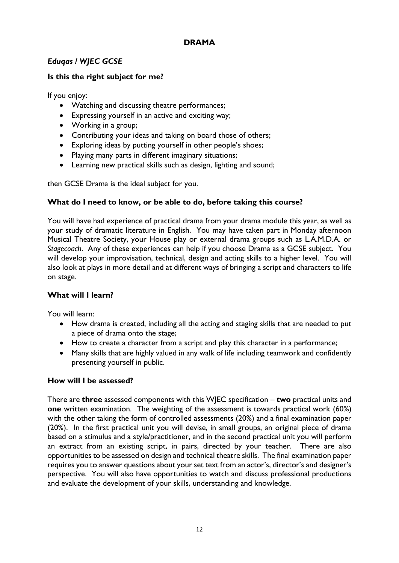# **DRAMA**

# *Eduqas / WJEC GCSE*

# **Is this the right subject for me?**

If you enjoy:

- Watching and discussing theatre performances;
- Expressing yourself in an active and exciting way;
- Working in a group;
- Contributing your ideas and taking on board those of others;
- Exploring ideas by putting yourself in other people's shoes;
- Playing many parts in different imaginary situations;
- Learning new practical skills such as design, lighting and sound;

then GCSE Drama is the ideal subject for you.

## **What do I need to know, or be able to do, before taking this course?**

You will have had experience of practical drama from your drama module this year, as well as your study of dramatic literature in English. You may have taken part in Monday afternoon Musical Theatre Society, your House play or external drama groups such as L.A.M.D.A. or *Stagecoach*. Any of these experiences can help if you choose Drama as a GCSE subject. You will develop your improvisation, technical, design and acting skills to a higher level. You will also look at plays in more detail and at different ways of bringing a script and characters to life on stage.

#### **What will I learn?**

You will learn:

- How drama is created, including all the acting and staging skills that are needed to put a piece of drama onto the stage;
- How to create a character from a script and play this character in a performance;
- Many skills that are highly valued in any walk of life including teamwork and confidently presenting yourself in public.

#### **How will I be assessed?**

There are **three** assessed components with this WJEC specification – **two** practical units and **one** written examination. The weighting of the assessment is towards practical work (60%) with the other taking the form of controlled assessments (20%) and a final examination paper (20%). In the first practical unit you will devise, in small groups, an original piece of drama based on a stimulus and a style/practitioner, and in the second practical unit you will perform an extract from an existing script, in pairs, directed by your teacher. There are also opportunities to be assessed on design and technical theatre skills. The final examination paper requires you to answer questions about your set text from an actor's, director's and designer's perspective. You will also have opportunities to watch and discuss professional productions and evaluate the development of your skills, understanding and knowledge.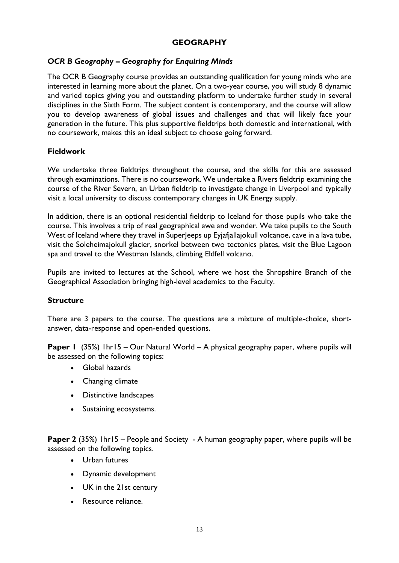#### **GEOGRAPHY**

## *OCR B Geography – Geography for Enquiring Minds*

The OCR B Geography course provides an outstanding qualification for young minds who are interested in learning more about the planet. On a two-year course, you will study 8 dynamic and varied topics giving you and outstanding platform to undertake further study in several disciplines in the Sixth Form. The subject content is contemporary, and the course will allow you to develop awareness of global issues and challenges and that will likely face your generation in the future. This plus supportive fieldtrips both domestic and international, with no coursework, makes this an ideal subject to choose going forward.

#### **Fieldwork**

We undertake three fieldtrips throughout the course, and the skills for this are assessed through examinations. There is no coursework. We undertake a Rivers fieldtrip examining the course of the River Severn, an Urban fieldtrip to investigate change in Liverpool and typically visit a local university to discuss contemporary changes in UK Energy supply.

In addition, there is an optional residential fieldtrip to Iceland for those pupils who take the course. This involves a trip of real geographical awe and wonder. We take pupils to the South West of Iceland where they travel in SuperJeeps up Eyjafjallajokull volcanoe, cave in a lava tube, visit the Soleheimajokull glacier, snorkel between two tectonics plates, visit the Blue Lagoon spa and travel to the Westman Islands, climbing Eldfell volcano.

Pupils are invited to lectures at the School, where we host the Shropshire Branch of the Geographical Association bringing high-level academics to the Faculty.

#### **Structure**

There are 3 papers to the course. The questions are a mixture of multiple-choice, shortanswer, data-response and open-ended questions.

**Paper 1** (35%) 1hr15 – Our Natural World – A physical geography paper, where pupils will be assessed on the following topics:

- Global hazards
- Changing climate
- Distinctive landscapes
- Sustaining ecosystems.

**Paper 2** (35%) 1hr15 – People and Society - A human geography paper, where pupils will be assessed on the following topics.

- Urban futures
- Dynamic development
- UK in the 21st century
- Resource reliance.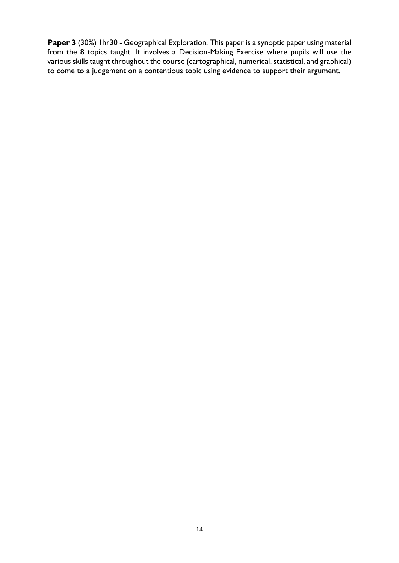**Paper 3** (30%) 1hr30 - Geographical Exploration. This paper is a synoptic paper using material from the 8 topics taught. It involves a Decision-Making Exercise where pupils will use the various skills taught throughout the course (cartographical, numerical, statistical, and graphical) to come to a judgement on a contentious topic using evidence to support their argument.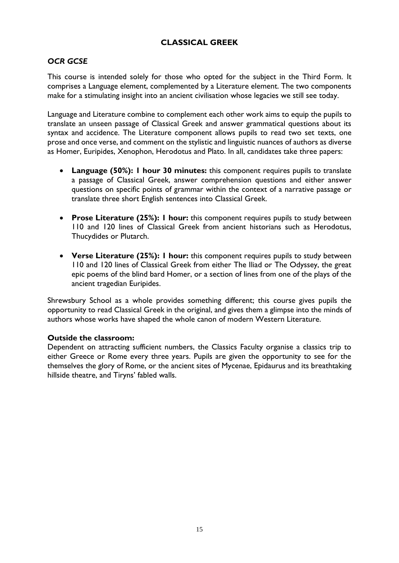# **CLASSICAL GREEK**

# *OCR GCSE*

This course is intended solely for those who opted for the subject in the Third Form. It comprises a Language element, complemented by a Literature element. The two components make for a stimulating insight into an ancient civilisation whose legacies we still see today.

Language and Literature combine to complement each other work aims to equip the pupils to translate an unseen passage of Classical Greek and answer grammatical questions about its syntax and accidence. The Literature component allows pupils to read two set texts, one prose and once verse, and comment on the stylistic and linguistic nuances of authors as diverse as Homer, Euripides, Xenophon, Herodotus and Plato. In all, candidates take three papers:

- **Language (50%): 1 hour 30 minutes:** this component requires pupils to translate a passage of Classical Greek, answer comprehension questions and either answer questions on specific points of grammar within the context of a narrative passage or translate three short English sentences into Classical Greek.
- **Prose Literature (25%): 1 hour:** this component requires pupils to study between 110 and 120 lines of Classical Greek from ancient historians such as Herodotus, Thucydides or Plutarch.
- **Verse Literature (25%): 1 hour:** this component requires pupils to study between 110 and 120 lines of Classical Greek from either The Iliad or The Odyssey, the great epic poems of the blind bard Homer, or a section of lines from one of the plays of the ancient tragedian Euripides.

Shrewsbury School as a whole provides something different; this course gives pupils the opportunity to read Classical Greek in the original, and gives them a glimpse into the minds of authors whose works have shaped the whole canon of modern Western Literature.

#### **Outside the classroom:**

Dependent on attracting sufficient numbers, the Classics Faculty organise a classics trip to either Greece or Rome every three years. Pupils are given the opportunity to see for the themselves the glory of Rome, or the ancient sites of Mycenae, Epidaurus and its breathtaking hillside theatre, and Tiryns' fabled walls.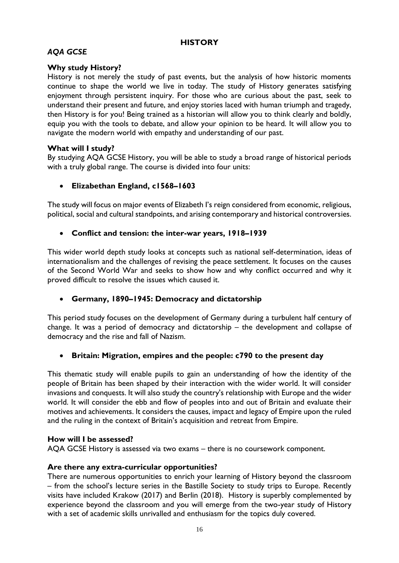## **HISTORY**

# *AQA GCSE*

# **Why study History?**

History is not merely the study of past events, but the analysis of how historic moments continue to shape the world we live in today. The study of History generates satisfying enjoyment through persistent inquiry. For those who are curious about the past, seek to understand their present and future, and enjoy stories laced with human triumph and tragedy, then History is for you! Being trained as a historian will allow you to think clearly and boldly, equip you with the tools to debate, and allow your opinion to be heard. It will allow you to navigate the modern world with empathy and understanding of our past.

## **What will I study?**

By studying AQA GCSE History, you will be able to study a broad range of historical periods with a truly global range. The course is divided into four units:

• **Elizabethan England, c1568–1603**

The study will focus on major events of Elizabeth I's reign considered from economic, religious, political, social and cultural standpoints, and arising contemporary and historical controversies.

#### • **Conflict and tension: the inter-war years, 1918–1939**

This wider world depth study looks at concepts such as national self-determination, ideas of internationalism and the challenges of revising the peace settlement. It focuses on the causes of the Second World War and seeks to show how and why conflict occurred and why it proved difficult to resolve the issues which caused it.

#### • **Germany, 1890–1945: Democracy and dictatorship**

This period study focuses on the development of Germany during a turbulent half century of change. It was a period of democracy and dictatorship – the development and collapse of democracy and the rise and fall of Nazism.

#### • **Britain: Migration, empires and the people: c790 to the present day**

This thematic study will enable pupils to gain an understanding of how the identity of the people of Britain has been shaped by their interaction with the wider world. It will consider invasions and conquests. It will also study the country's relationship with Europe and the wider world. It will consider the ebb and flow of peoples into and out of Britain and evaluate their motives and achievements. It considers the causes, impact and legacy of Empire upon the ruled and the ruling in the context of Britain's acquisition and retreat from Empire.

#### **How will I be assessed?**

AQA GCSE History is assessed via two exams – there is no coursework component.

#### **Are there any extra-curricular opportunities?**

There are numerous opportunities to enrich your learning of History beyond the classroom – from the school's lecture series in the Bastille Society to study trips to Europe. Recently visits have included Krakow (2017) and Berlin (2018). History is superbly complemented by experience beyond the classroom and you will emerge from the two-year study of History with a set of academic skills unrivalled and enthusiasm for the topics duly covered.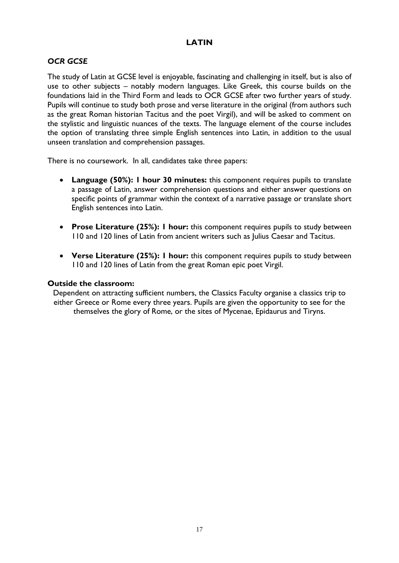# **LATIN**

# *OCR GCSE*

The study of Latin at GCSE level is enjoyable, fascinating and challenging in itself, but is also of use to other subjects – notably modern languages. Like Greek, this course builds on the foundations laid in the Third Form and leads to OCR GCSE after two further years of study. Pupils will continue to study both prose and verse literature in the original (from authors such as the great Roman historian Tacitus and the poet Virgil), and will be asked to comment on the stylistic and linguistic nuances of the texts. The language element of the course includes the option of translating three simple English sentences into Latin, in addition to the usual unseen translation and comprehension passages.

There is no coursework. In all, candidates take three papers:

- **Language (50%): 1 hour 30 minutes:** this component requires pupils to translate a passage of Latin, answer comprehension questions and either answer questions on specific points of grammar within the context of a narrative passage or translate short English sentences into Latin.
- **Prose Literature (25%): 1 hour:** this component requires pupils to study between 110 and 120 lines of Latin from ancient writers such as Julius Caesar and Tacitus.
- **Verse Literature (25%): 1 hour:** this component requires pupils to study between 110 and 120 lines of Latin from the great Roman epic poet Virgil.

#### **Outside the classroom:**

Dependent on attracting sufficient numbers, the Classics Faculty organise a classics trip to either Greece or Rome every three years. Pupils are given the opportunity to see for the themselves the glory of Rome, or the sites of Mycenae, Epidaurus and Tiryns.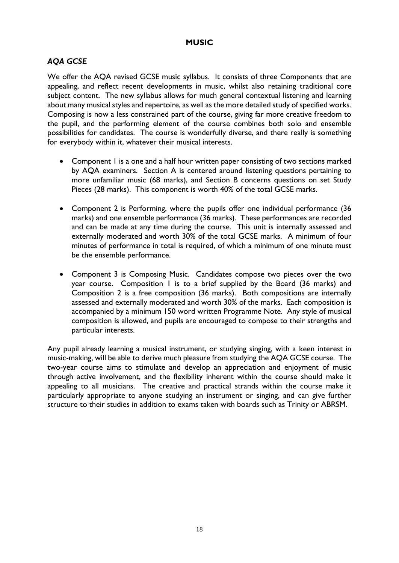## **MUSIC**

# *AQA GCSE*

We offer the AQA revised GCSE music syllabus. It consists of three Components that are appealing, and reflect recent developments in music, whilst also retaining traditional core subject content. The new syllabus allows for much general contextual listening and learning about many musical styles and repertoire, as well as the more detailed study of specified works. Composing is now a less constrained part of the course, giving far more creative freedom to the pupil, and the performing element of the course combines both solo and ensemble possibilities for candidates. The course is wonderfully diverse, and there really is something for everybody within it, whatever their musical interests.

- Component I is a one and a half hour written paper consisting of two sections marked by AQA examiners. Section A is centered around listening questions pertaining to more unfamiliar music (68 marks), and Section B concerns questions on set Study Pieces (28 marks). This component is worth 40% of the total GCSE marks.
- Component 2 is Performing, where the pupils offer one individual performance (36 marks) and one ensemble performance (36 marks). These performances are recorded and can be made at any time during the course. This unit is internally assessed and externally moderated and worth 30% of the total GCSE marks. A minimum of four minutes of performance in total is required, of which a minimum of one minute must be the ensemble performance.
- Component 3 is Composing Music. Candidates compose two pieces over the two year course. Composition 1 is to a brief supplied by the Board (36 marks) and Composition 2 is a free composition (36 marks). Both compositions are internally assessed and externally moderated and worth 30% of the marks. Each composition is accompanied by a minimum 150 word written Programme Note. Any style of musical composition is allowed, and pupils are encouraged to compose to their strengths and particular interests.

Any pupil already learning a musical instrument, or studying singing, with a keen interest in music-making, will be able to derive much pleasure from studying the AQA GCSE course. The two-year course aims to stimulate and develop an appreciation and enjoyment of music through active involvement, and the flexibility inherent within the course should make it appealing to all musicians. The creative and practical strands within the course make it particularly appropriate to anyone studying an instrument or singing, and can give further structure to their studies in addition to exams taken with boards such as Trinity or ABRSM.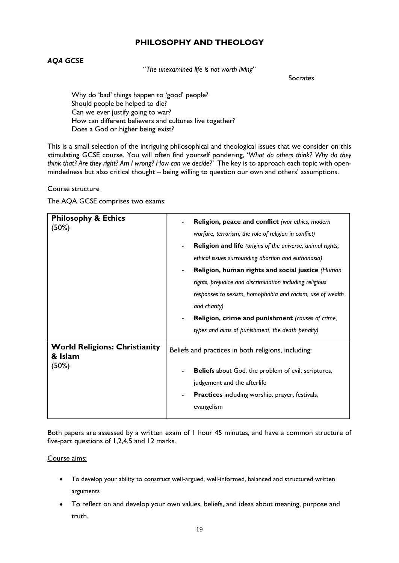## **PHILOSOPHY AND THEOLOGY**

## *AQA GCSE*

"*The unexamined life is not worth living*"

Socrates

Why do 'bad' things happen to 'good' people? Should people be helped to die? Can we ever justify going to war? How can different believers and cultures live together? Does a God or higher being exist?

This is a small selection of the intriguing philosophical and theological issues that we consider on this stimulating GCSE course. You will often find yourself pondering, '*What do others think? Why do they think that? Are they right? Am I wrong? How can we decide?'* The key is to approach each topic with openmindedness but also critical thought – being willing to question our own and others' assumptions.

#### Course structure

The AQA GCSE comprises two exams:

| <b>Philosophy &amp; Ethics</b><br>(50%)                  | Religion, peace and conflict (war ethics, modern<br>warfare, terrorism, the role of religion in conflict)<br><b>Religion and life</b> (origins of the universe, animal rights,<br>$\blacksquare$<br>ethical issues surrounding abortion and euthanasia)<br>Religion, human rights and social justice (Human<br>rights, prejudice and discrimination including religious<br>responses to sexism, homophobia and racism, use of wealth<br>and charity)<br>Religion, crime and punishment (causes of crime,<br>$\blacksquare$<br>types and aims of punishment, the death penalty) |
|----------------------------------------------------------|--------------------------------------------------------------------------------------------------------------------------------------------------------------------------------------------------------------------------------------------------------------------------------------------------------------------------------------------------------------------------------------------------------------------------------------------------------------------------------------------------------------------------------------------------------------------------------|
| <b>World Religions: Christianity</b><br>& Islam<br>(50%) | Beliefs and practices in both religions, including:<br><b>Beliefs</b> about God, the problem of evil, scriptures,<br>judgement and the afterlife<br><b>Practices</b> including worship, prayer, festivals,<br>evangelism                                                                                                                                                                                                                                                                                                                                                       |

Both papers are assessed by a written exam of 1 hour 45 minutes, and have a common structure of five-part questions of 1,2,4,5 and 12 marks.

#### Course aims:

- To develop your ability to construct well-argued, well-informed, balanced and structured written arguments
- To reflect on and develop your own values, beliefs, and ideas about meaning, purpose and truth.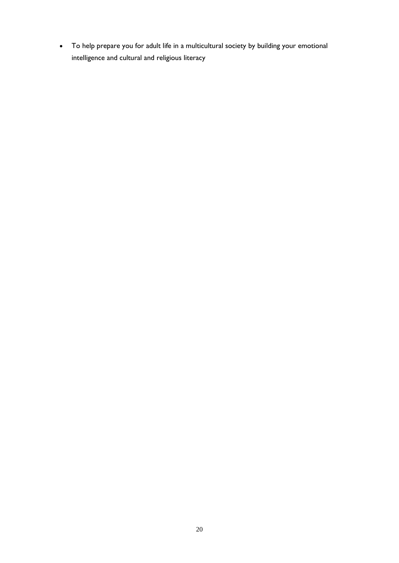• To help prepare you for adult life in a multicultural society by building your emotional intelligence and cultural and religious literacy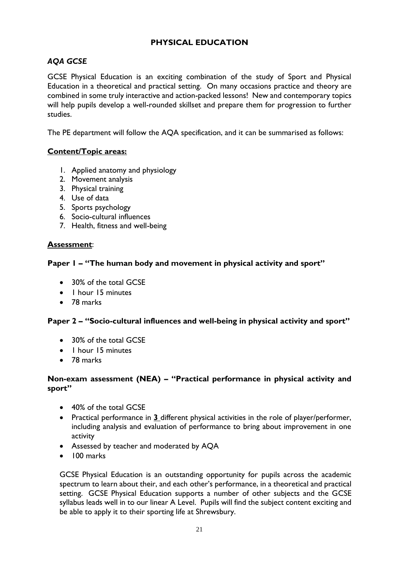# **PHYSICAL EDUCATION**

# *AQA GCSE*

GCSE Physical Education is an exciting combination of the study of Sport and Physical Education in a theoretical and practical setting. On many occasions practice and theory are combined in some truly interactive and action-packed lessons! New and contemporary topics will help pupils develop a well-rounded skillset and prepare them for progression to further studies.

The PE department will follow the AQA specification, and it can be summarised as follows:

# **Content/Topic areas:**

- 1. Applied anatomy and physiology
- 2. Movement analysis
- 3. Physical training
- 4. Use of data
- 5. Sports psychology
- 6. Socio-cultural influences
- 7. Health, fitness and well-being

## **Assessment**:

## **Paper 1 – "The human body and movement in physical activity and sport"**

- 30% of the total GCSE
- 1 hour 15 minutes
- 78 marks

# **Paper 2 – "Socio-cultural influences and well-being in physical activity and sport"**

- 30% of the total GCSE
- 1 hour 15 minutes
- 78 marks

#### **Non-exam assessment (NEA) – "Practical performance in physical activity and sport"**

- 40% of the total GCSE
- Practical performance in **3** different physical activities in the role of player/performer, including analysis and evaluation of performance to bring about improvement in one activity
- Assessed by teacher and moderated by AQA
- 100 marks

GCSE Physical Education is an outstanding opportunity for pupils across the academic spectrum to learn about their, and each other's performance, in a theoretical and practical setting. GCSE Physical Education supports a number of other subjects and the GCSE syllabus leads well in to our linear A Level. Pupils will find the subject content exciting and be able to apply it to their sporting life at Shrewsbury.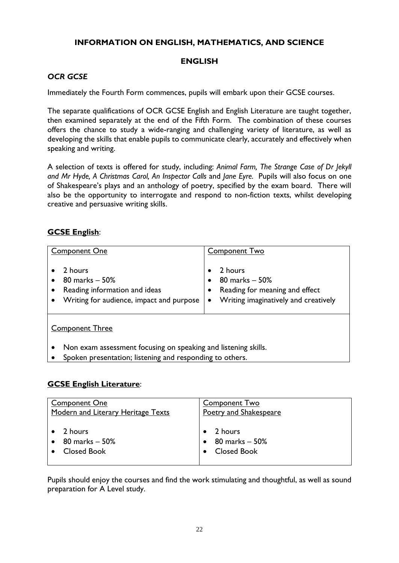# **INFORMATION ON ENGLISH, MATHEMATICS, AND SCIENCE**

## **ENGLISH**

# *OCR GCSE*

Immediately the Fourth Form commences, pupils will embark upon their GCSE courses.

The separate qualifications of OCR GCSE English and English Literature are taught together, then examined separately at the end of the Fifth Form. The combination of these courses offers the chance to study a wide-ranging and challenging variety of literature, as well as developing the skills that enable pupils to communicate clearly, accurately and effectively when speaking and writing.

A selection of texts is offered for study, including: *Animal Farm, The Strange Case of Dr Jekyll and Mr Hyde, A Christmas Carol, An Inspector Calls* and *Jane Eyre.* Pupils will also focus on one of Shakespeare's plays and an anthology of poetry, specified by the exam board. There will also be the opportunity to interrogate and respond to non-fiction texts, whilst developing creative and persuasive writing skills.

# **GCSE English**:

| <b>Component One</b><br>2 hours                                                             | <b>Component Two</b><br>2 hours                                                                       |
|---------------------------------------------------------------------------------------------|-------------------------------------------------------------------------------------------------------|
| 80 marks - 50%<br>Reading information and ideas<br>Writing for audience, impact and purpose | 80 marks - 50%<br>Reading for meaning and effect<br>Writing imaginatively and creatively<br>$\bullet$ |
| <b>Component Three</b>                                                                      |                                                                                                       |

• Non exam assessment focusing on speaking and listening skills.

Spoken presentation; listening and responding to others.

#### **GCSE English Literature**:

| <b>Component One</b>               | <b>Component Two</b>   |
|------------------------------------|------------------------|
| Modern and Literary Heritage Texts | Poetry and Shakespeare |
| 2 hours                            | 2 hours                |
| $80$ marks $-50\%$                 | 80 marks – 50%         |
| <b>Closed Book</b>                 | <b>Closed Book</b>     |

Pupils should enjoy the courses and find the work stimulating and thoughtful, as well as sound preparation for A Level study.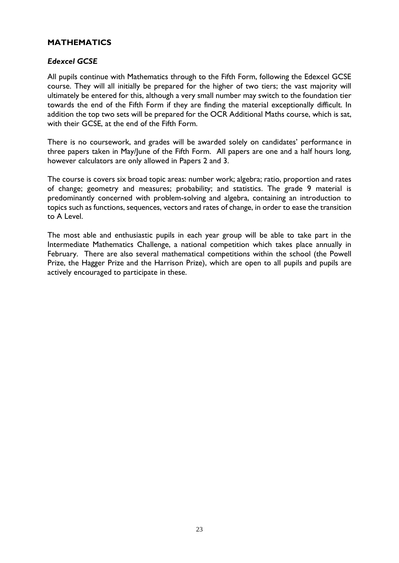#### **MATHEMATICS**

#### *Edexcel GCSE*

All pupils continue with Mathematics through to the Fifth Form, following the Edexcel GCSE course. They will all initially be prepared for the higher of two tiers; the vast majority will ultimately be entered for this, although a very small number may switch to the foundation tier towards the end of the Fifth Form if they are finding the material exceptionally difficult. In addition the top two sets will be prepared for the OCR Additional Maths course, which is sat, with their GCSE, at the end of the Fifth Form.

There is no coursework, and grades will be awarded solely on candidates' performance in three papers taken in May/June of the Fifth Form. All papers are one and a half hours long, however calculators are only allowed in Papers 2 and 3.

The course is covers six broad topic areas: number work; algebra; ratio, proportion and rates of change; geometry and measures; probability; and statistics. The grade 9 material is predominantly concerned with problem-solving and algebra, containing an introduction to topics such as functions, sequences, vectors and rates of change, in order to ease the transition to A Level.

The most able and enthusiastic pupils in each year group will be able to take part in the Intermediate Mathematics Challenge, a national competition which takes place annually in February. There are also several mathematical competitions within the school (the Powell Prize, the Hagger Prize and the Harrison Prize), which are open to all pupils and pupils are actively encouraged to participate in these.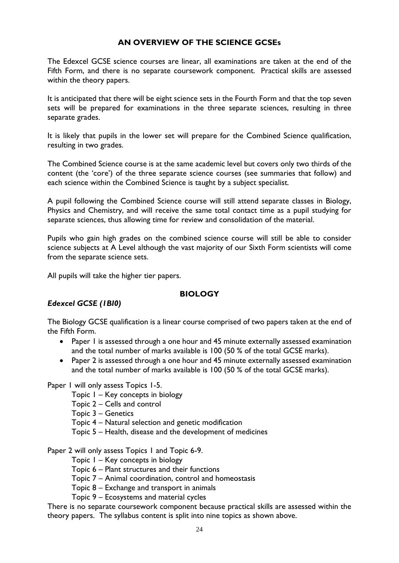# **AN OVERVIEW OF THE SCIENCE GCSEs**

The Edexcel GCSE science courses are linear, all examinations are taken at the end of the Fifth Form, and there is no separate coursework component. Practical skills are assessed within the theory papers.

It is anticipated that there will be eight science sets in the Fourth Form and that the top seven sets will be prepared for examinations in the three separate sciences, resulting in three separate grades.

It is likely that pupils in the lower set will prepare for the Combined Science qualification, resulting in two grades.

The Combined Science course is at the same academic level but covers only two thirds of the content (the 'core') of the three separate science courses (see summaries that follow) and each science within the Combined Science is taught by a subject specialist.

A pupil following the Combined Science course will still attend separate classes in Biology, Physics and Chemistry, and will receive the same total contact time as a pupil studying for separate sciences, thus allowing time for review and consolidation of the material.

Pupils who gain high grades on the combined science course will still be able to consider science subjects at A Level although the vast majority of our Sixth Form scientists will come from the separate science sets.

All pupils will take the higher tier papers.

#### **BIOLOGY**

#### *Edexcel GCSE (1BI0)*

The Biology GCSE qualification is a linear course comprised of two papers taken at the end of the Fifth Form.

- Paper I is assessed through a one hour and 45 minute externally assessed examination and the total number of marks available is 100 (50 % of the total GCSE marks).
- Paper 2 is assessed through a one hour and 45 minute externally assessed examination and the total number of marks available is 100 (50 % of the total GCSE marks).

Paper 1 will only assess Topics 1-5.

Topic 1 – Key concepts in biology

Topic 2 – Cells and control

Topic 3 – Genetics

Topic 4 – Natural selection and genetic modification

Topic 5 – Health, disease and the development of medicines

Paper 2 will only assess Topics 1 and Topic 6-9.

Topic 1 – Key concepts in biology

Topic 6 – Plant structures and their functions

Topic 7 – Animal coordination, control and homeostasis

Topic 8 – Exchange and transport in animals

Topic 9 – Ecosystems and material cycles

There is no separate coursework component because practical skills are assessed within the theory papers. The syllabus content is split into nine topics as shown above.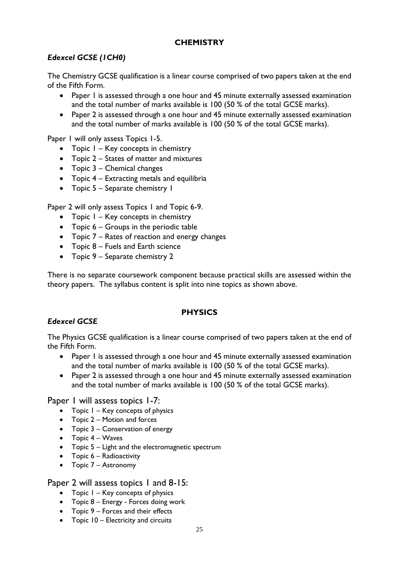# **CHEMISTRY**

# *Edexcel GCSE (1CH0)*

The Chemistry GCSE qualification is a linear course comprised of two papers taken at the end of the Fifth Form.

- Paper 1 is assessed through a one hour and 45 minute externally assessed examination and the total number of marks available is 100 (50 % of the total GCSE marks).
- Paper 2 is assessed through a one hour and 45 minute externally assessed examination and the total number of marks available is 100 (50 % of the total GCSE marks).

Paper 1 will only assess Topics 1-5.

- Topic I Key concepts in chemistry
- Topic 2 States of matter and mixtures
- Topic 3 Chemical changes
- Topic 4 Extracting metals and equilibria
- Topic 5 Separate chemistry 1

Paper 2 will only assess Topics 1 and Topic 6-9.

- Topic  $1 \text{Key concepts in chemistry}$
- Topic 6 Groups in the periodic table
- Topic 7 Rates of reaction and energy changes
- Topic 8 Fuels and Earth science
- Topic 9 Separate chemistry 2

There is no separate coursework component because practical skills are assessed within the theory papers. The syllabus content is split into nine topics as shown above.

#### **PHYSICS**

#### *Edexcel GCSE*

The Physics GCSE qualification is a linear course comprised of two papers taken at the end of the Fifth Form.

- Paper 1 is assessed through a one hour and 45 minute externally assessed examination and the total number of marks available is 100 (50 % of the total GCSE marks).
- Paper 2 is assessed through a one hour and 45 minute externally assessed examination and the total number of marks available is 100 (50 % of the total GCSE marks).

Paper 1 will assess topics 1-7:

- Topic 1 Key concepts of physics
- Topic 2 Motion and forces
- Topic 3 Conservation of energy
- Topic 4 Waves
- Topic 5 Light and the electromagnetic spectrum
- Topic 6 Radioactivity
- Topic 7 Astronomy

#### Paper 2 will assess topics 1 and 8-15:

- Topic 1 Key concepts of physics
- Topic 8 Energy Forces doing work
- Topic 9 Forces and their effects
- Topic 10 Electricity and circuits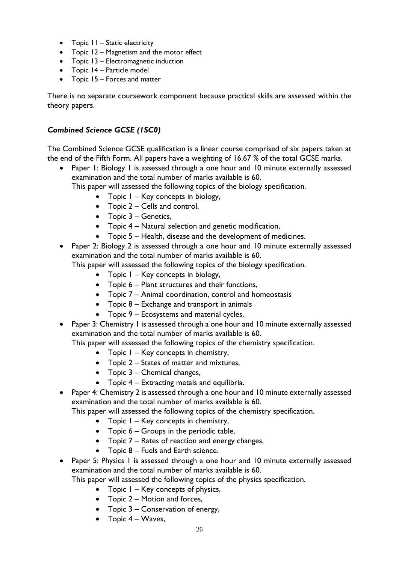- Topic II Static electricity
- Topic 12 Magnetism and the motor effect
- Topic 13 Electromagnetic induction
- Topic 14 Particle model
- Topic 15 Forces and matter

There is no separate coursework component because practical skills are assessed within the theory papers.

## *Combined Science GCSE (1SC0)*

The Combined Science GCSE qualification is a linear course comprised of six papers taken at the end of the Fifth Form. All papers have a weighting of 16.67 % of the total GCSE marks.

• Paper 1: Biology 1 is assessed through a one hour and 10 minute externally assessed examination and the total number of marks available is 60.

This paper will assessed the following topics of the biology specification.

- Topic  $1 \text{Key concepts in biology}$ ,
- Topic 2 Cells and control,
- Topic 3 Genetics,
- Topic 4 Natural selection and genetic modification,
- Topic 5 Health, disease and the development of medicines.
- Paper 2: Biology 2 is assessed through a one hour and 10 minute externally assessed examination and the total number of marks available is 60.

This paper will assessed the following topics of the biology specification.

- Topic  $I Key$  concepts in biology,
- Topic 6 Plant structures and their functions,
- Topic 7 Animal coordination, control and homeostasis
- Topic 8 Exchange and transport in animals
- Topic 9 Ecosystems and material cycles.
- Paper 3: Chemistry 1 is assessed through a one hour and 10 minute externally assessed examination and the total number of marks available is 60.

This paper will assessed the following topics of the chemistry specification.

- Topic 1 Key concepts in chemistry,
- Topic 2 States of matter and mixtures,
- Topic 3 Chemical changes,
- Topic 4 Extracting metals and equilibria.
- Paper 4: Chemistry 2 is assessed through a one hour and 10 minute externally assessed examination and the total number of marks available is 60.

This paper will assessed the following topics of the chemistry specification.

- Topic 1 Key concepts in chemistry,
- Topic 6 Groups in the periodic table,
- Topic 7 Rates of reaction and energy changes,
- Topic 8 Fuels and Earth science.
- Paper 5: Physics 1 is assessed through a one hour and 10 minute externally assessed examination and the total number of marks available is 60.

This paper will assessed the following topics of the physics specification.

- Topic 1 Key concepts of physics,
- Topic 2 Motion and forces,
- Topic 3 Conservation of energy,
- Topic  $4 W$ aves,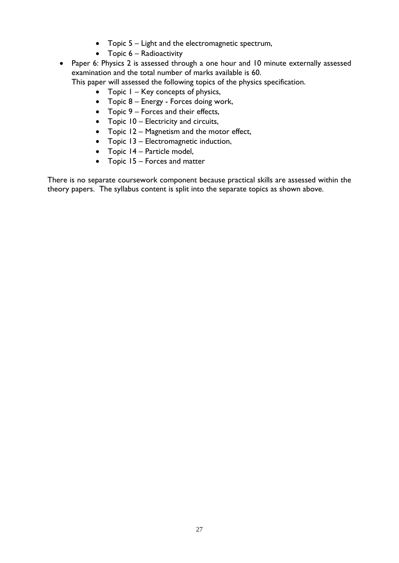- Topic 5 Light and the electromagnetic spectrum,
- Topic 6 Radioactivity
- Paper 6: Physics 2 is assessed through a one hour and 10 minute externally assessed examination and the total number of marks available is 60. This paper will assessed the following topics of the physics specification.
	- Topic 1 Key concepts of physics,
	- Topic 8 Energy Forces doing work,
	- Topic 9 Forces and their effects,
	- Topic 10 Electricity and circuits,
	- Topic 12 Magnetism and the motor effect,
	- Topic 13 Electromagnetic induction,
	- Topic 14 Particle model,
	- Topic 15 Forces and matter

There is no separate coursework component because practical skills are assessed within the theory papers. The syllabus content is split into the separate topics as shown above.